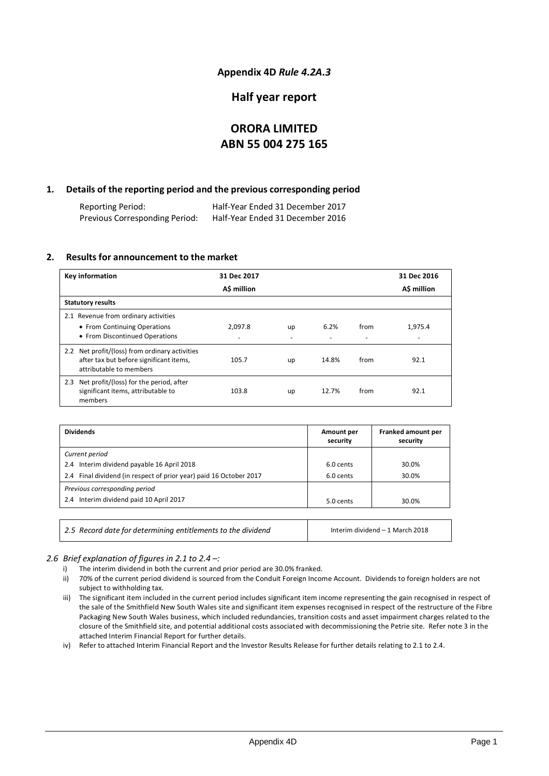### **Appendix 4D** *Rule 4.2A.3*

# **Half year report**

# **ORORA LIMITED ABN 55 004 275 165**

### **1. Details of the reporting period and the previous corresponding period**

Reporting Period: Half-Year Ended 31 December 2017 Half-Year Ended 31 December 2016

### **2. Results for announcement to the market**

| <b>Key information</b>                                                                       | 31 Dec 2017 |    |       |                          | 31 Dec 2016              |
|----------------------------------------------------------------------------------------------|-------------|----|-------|--------------------------|--------------------------|
|                                                                                              | A\$ million |    |       |                          | A\$ million              |
| <b>Statutory results</b>                                                                     |             |    |       |                          |                          |
| 2.1 Revenue from ordinary activities                                                         |             |    |       |                          |                          |
| • From Continuing Operations                                                                 | 2.097.8     | up | 6.2%  | from                     | 1,975.4                  |
| • From Discontinued Operations                                                               |             |    |       | $\overline{\phantom{a}}$ | $\overline{\phantom{a}}$ |
| 2.2 Net profit/(loss) from ordinary activities<br>after tax but before significant items,    | 105.7       | up | 14.8% | from                     | 92.1                     |
| attributable to members                                                                      |             |    |       |                          |                          |
| 2.3 Net profit/(loss) for the period, after<br>significant items, attributable to<br>members | 103.8       | up | 12.7% | from                     | 92.1                     |

| Amount per<br>security | Franked amount per<br>security |
|------------------------|--------------------------------|
|                        |                                |
| 6.0 cents              | 30.0%                          |
| 6.0 cents              | 30.0%                          |
|                        |                                |
| 5.0 cents              | 30.0%                          |
|                        |                                |
|                        |                                |

*2.5 Record date for determining entitlements to the dividend* Interim dividend – 1 March 2018

### *2.6 Brief explanation of figures in 2.1 to 2.4 –:*

- i) The interim dividend in both the current and prior period are 30.0% franked.
- ii) 70% of the current period dividend is sourced from the Conduit Foreign Income Account. Dividends to foreign holders are not subject to withholding tax.
- iii) The significant item included in the current period includes significant item income representing the gain recognised in respect of the sale of the Smithfield New South Wales site and significant item expenses recognised in respect of the restructure of the Fibre Packaging New South Wales business, which included redundancies, transition costs and asset impairment charges related to the closure of the Smithfield site, and potential additional costs associated with decommissioning the Petrie site. Refer note 3 in the attached Interim Financial Report for further details.

iv) Refer to attached Interim Financial Report and the Investor Results Release for further details relating to 2.1 to 2.4.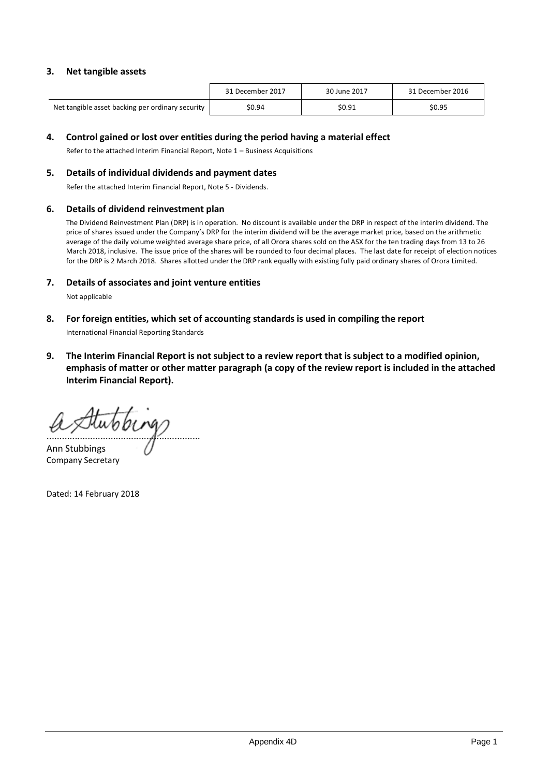### **3. Net tangible assets**

|                                                  | 31 December 2017 | 30 June 2017 | 31 December 2016 |
|--------------------------------------------------|------------------|--------------|------------------|
| Net tangible asset backing per ordinary security | \$0.94           | S0.91        | \$0.95           |

### **4. Control gained or lost over entities during the period having a material effect**

Refer to the attached Interim Financial Report, Note 1 – Business Acquisitions

#### **5. Details of individual dividends and payment dates**

Refer the attached Interim Financial Report, Note 5 - Dividends.

### **6. Details of dividend reinvestment plan**

The Dividend Reinvestment Plan (DRP) is in operation. No discount is available under the DRP in respect of the interim dividend. The price of shares issued under the Company's DRP for the interim dividend will be the average market price, based on the arithmetic average of the daily volume weighted average share price, of all Orora shares sold on the ASX for the ten trading days from 13 to 26 March 2018, inclusive. The issue price of the shares will be rounded to four decimal places. The last date for receipt of election notices for the DRP is 2 March 2018. Shares allotted under the DRP rank equally with existing fully paid ordinary shares of Orora Limited.

### **7. Details of associates and joint venture entities**

Not applicable

**8. For foreign entities, which set of accounting standards is used in compiling the report**

International Financial Reporting Standards

**9. The Interim Financial Report is not subject to a review report that is subject to a modified opinion, emphasis of matter or other matter paragraph (a copy of the review report is included in the attached Interim Financial Report).**

............................................................

Ann Stubbings Company Secretary

Dated: 14 February 2018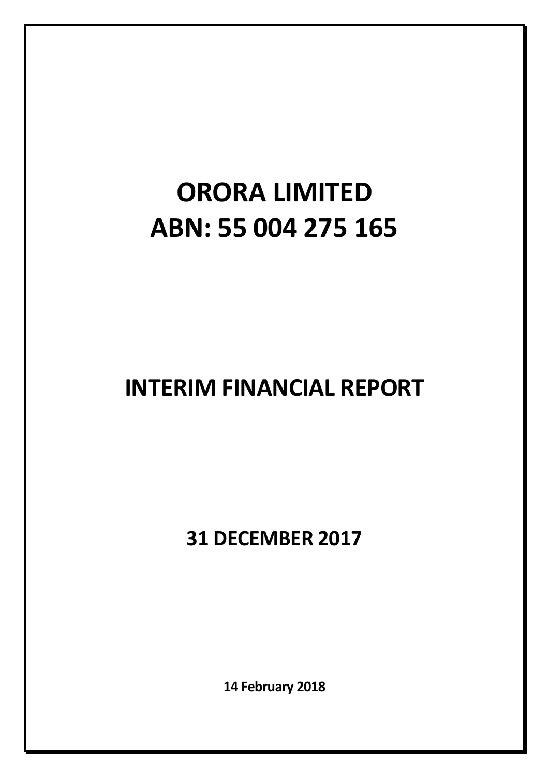# **ORORA LIMITED ABN: 55 004 275 165**

# **INTERIM FINANCIAL REPORT**

**31 DECEMBER 2017**

**14 February 2018**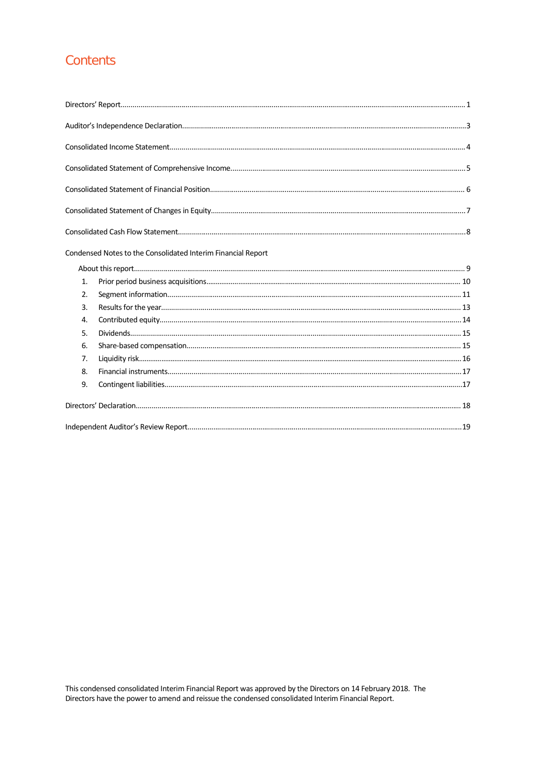# Contents

|    | Condensed Notes to the Consolidated Interim Financial Report |
|----|--------------------------------------------------------------|
|    |                                                              |
| 1. |                                                              |
| 2. |                                                              |
| 3. |                                                              |
| 4. |                                                              |
| 5. |                                                              |
| 6. |                                                              |
| 7. |                                                              |
| 8. |                                                              |
| 9. |                                                              |
|    |                                                              |
|    |                                                              |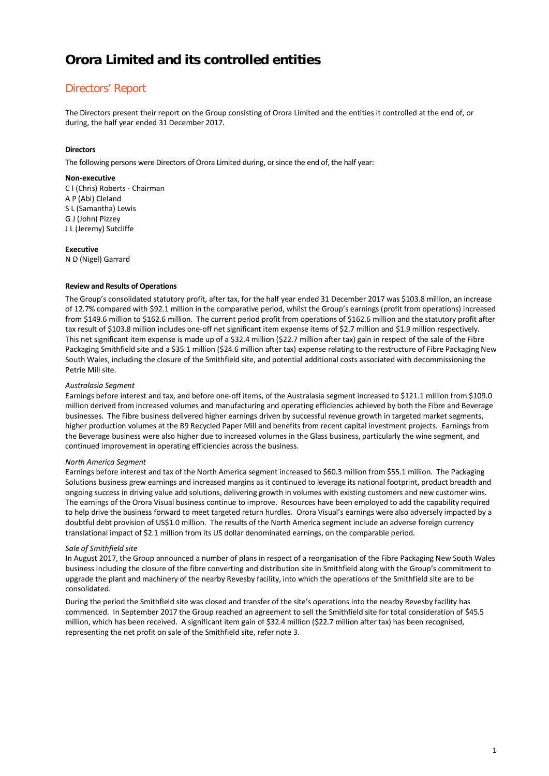# Directors' Report

The Directors present their report on the Group consisting of Orora Limited and the entities it controlled at the end of, or during, the half year ended 31 December 2017.

#### **Directors**

The following persons were Directors of Orora Limited during, or since the end of, the half year:

#### **Non-executive**

C I (Chris) Roberts - Chairman A P (Abi) Cleland S L (Samantha) Lewis G J (John) Pizzey J L (Jeremy) Sutcliffe

#### **Executive**

N D (Nigel) Garrard

#### **Review and Results of Operations**

The Group's consolidated statutory profit, after tax, for the half year ended 31 December 2017 was \$103.8 million, an increase of 12.7% compared with \$92.1 million in the comparative period, whilst the Group's earnings (profit from operations) increased from \$149.6 million to \$162.6 million. The current period profit from operations of \$162.6 million and the statutory profit after tax result of \$103.8 million includes one-off net significant item expense items of \$2.7 million and \$1.9 million respectively. This net significant item expense is made up of a \$32.4 million (\$22.7 million after tax) gain in respect of the sale of the Fibre Packaging Smithfield site and a \$35.1 million (\$24.6 million after tax) expense relating to the restructure of Fibre Packaging New South Wales, including the closure of the Smithfield site, and potential additional costs associated with decommissioning the Petrie Mill site.

#### *Australasia Segment*

Earnings before interest and tax, and before one-off items, of the Australasia segment increased to \$121.1 million from \$109.0 million derived from increased volumes and manufacturing and operating efficiencies achieved by both the Fibre and Beverage businesses. The Fibre business delivered higher earnings driven by successful revenue growth in targeted market segments, higher production volumes at the B9 Recycled Paper Mill and benefits from recent capital investment projects. Earnings from the Beverage business were also higher due to increased volumes in the Glass business, particularly the wine segment, and continued improvement in operating efficiencies across the business.

#### *North America Segment*

Earnings before interest and tax of the North America segment increased to \$60.3 million from \$55.1 million. The Packaging Solutions business grew earnings and increased margins as it continued to leverage its national footprint, product breadth and ongoing success in driving value add solutions, delivering growth in volumes with existing customers and new customer wins. The earnings of the Orora Visual business continue to improve. Resources have been employed to add the capability required to help drive the business forward to meet targeted return hurdles. Orora Visual's earnings were also adversely impacted by a doubtful debt provision of US\$1.0 million. The results of the North America segment include an adverse foreign currency translational impact of \$2.1 million from its US dollar denominated earnings, on the comparable period.

#### *Sale of Smithfield site*

In August 2017, the Group announced a number of plans in respect of a reorganisation of the Fibre Packaging New South Wales business including the closure of the fibre converting and distribution site in Smithfield along with the Group's commitment to upgrade the plant and machinery of the nearby Revesby facility, into which the operations of the Smithfield site are to be consolidated.

During the period the Smithfield site was closed and transfer of the site's operations into the nearby Revesby facility has commenced. In September 2017 the Group reached an agreement to sell the Smithfield site for total consideration of \$45.5 million, which has been received. A significant item gain of \$32.4 million (\$22.7 million after tax) has been recognised, representing the net profit on sale of the Smithfield site, refer note 3.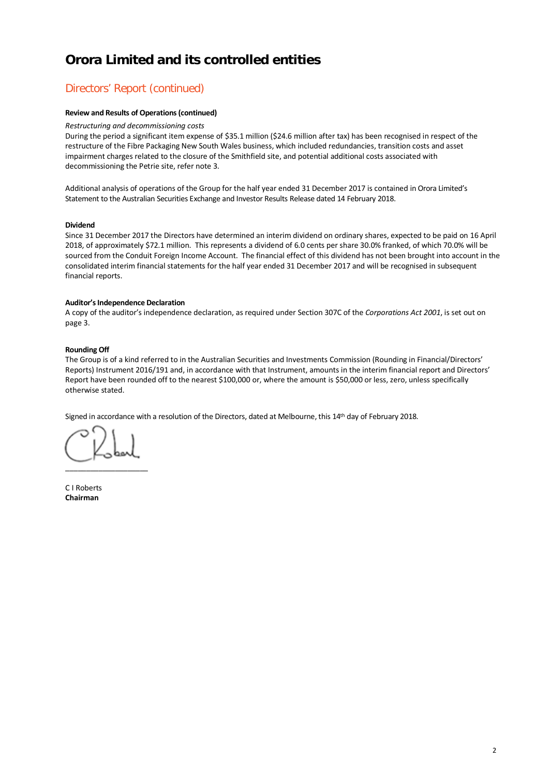# Directors' Report (continued)

#### **Review and Results of Operations(continued)**

#### *Restructuring and decommissioning costs*

During the period a significant item expense of \$35.1 million (\$24.6 million after tax) has been recognised in respect of the restructure of the Fibre Packaging New South Wales business, which included redundancies, transition costs and asset impairment charges related to the closure of the Smithfield site, and potential additional costs associated with decommissioning the Petrie site, refer note 3.

Additional analysis of operations of the Group for the half year ended 31 December 2017 is contained in Orora Limited's Statement to the Australian Securities Exchange and Investor Results Release dated 14 February 2018.

#### **Dividend**

Since 31 December 2017 the Directors have determined an interim dividend on ordinary shares, expected to be paid on 16 April 2018, of approximately \$72.1 million. This represents a dividend of 6.0 cents per share 30.0% franked, of which 70.0% will be sourced from the Conduit Foreign Income Account. The financial effect of this dividend has not been brought into account in the consolidated interim financial statements for the half year ended 31 December 2017 and will be recognised in subsequent financial reports.

#### **Auditor's Independence Declaration**

A copy of the auditor's independence declaration, as required under Section 307C of the *Corporations Act 2001*, is set out on page 3.

#### **Rounding Off**

The Group is of a kind referred to in the Australian Securities and Investments Commission (Rounding in Financial/Directors' Reports) Instrument 2016/191 and, in accordance with that Instrument, amounts in the interim financial report and Directors' Report have been rounded off to the nearest \$100,000 or, where the amount is \$50,000 or less, zero, unless specifically otherwise stated.

Signed in accordance with a resolution of the Directors, dated at Melbourne, this 14th day of February 2018.

 $\overline{\phantom{a}}$  , we can also the contract of  $\overline{\phantom{a}}$ 

C I Roberts **Chairman**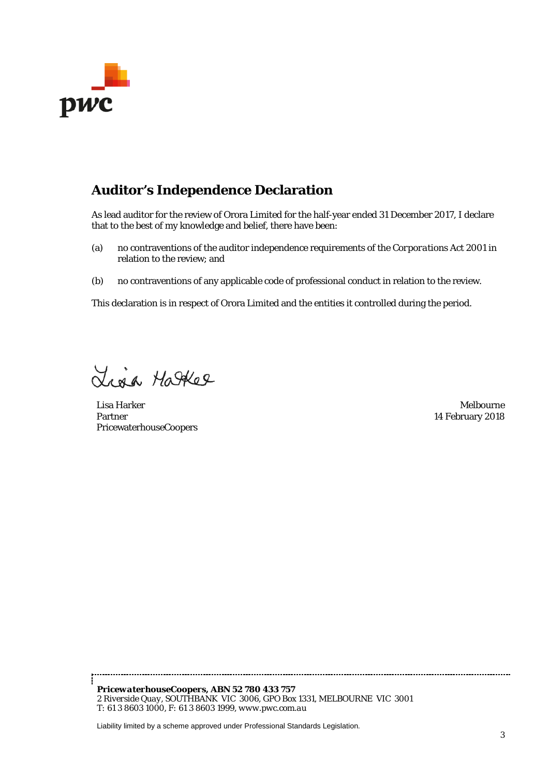

# **Auditor's Independence Declaration**

As lead auditor for the review of Orora Limited for the half-year ended 31 December 2017, I declare that to the best of my knowledge and belief, there have been:

- (a) no contraventions of the auditor independence requirements of the *Corporations Act 2001* in relation to the review; and
- (b) no contraventions of any applicable code of professional conduct in relation to the review.

This declaration is in respect of Orora Limited and the entities it controlled during the period.

Lisa Hatter

Lisa Harker Melbourne Partner PricewaterhouseCoopers

14 February 2018

*PricewaterhouseCoopers, ABN 52 780 433 757 2 Riverside Quay, SOUTHBANK VIC 3006, GPO Box 1331, MELBOURNE VIC 3001 T: 61 3 8603 1000, F: 61 [3 8603 1999, www.p](http://www.pwc.com.au/)wc.com.au*

Liability limited by a scheme approved under Professional Standards Legislation.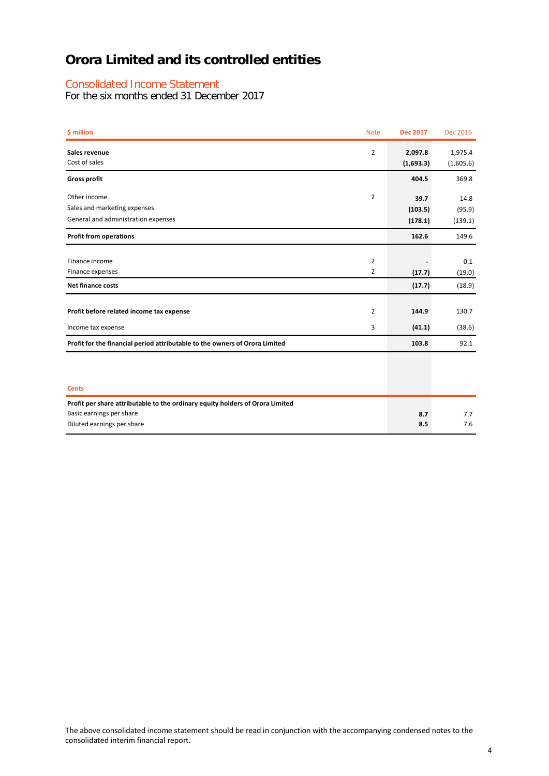### Consolidated Income Statement

For the six months ended 31 December 2017

| <b><i>S</i></b> million                                                       | <b>Note</b>    | <b>Dec 2017</b>      | <b>Dec 2016</b>      |
|-------------------------------------------------------------------------------|----------------|----------------------|----------------------|
| Sales revenue<br>Cost of sales                                                | $\overline{2}$ | 2,097.8<br>(1,693.3) | 1,975.4<br>(1,605.6) |
| <b>Gross profit</b>                                                           |                | 404.5                | 369.8                |
| Other income                                                                  | $\overline{2}$ | 39.7                 | 14.8                 |
| Sales and marketing expenses                                                  |                | (103.5)              | (95.9)               |
| General and administration expenses                                           |                | (178.1)              | (139.1)              |
| <b>Profit from operations</b>                                                 |                | 162.6                | 149.6                |
|                                                                               |                |                      |                      |
| Finance income                                                                | $\overline{2}$ |                      | 0.1                  |
| Finance expenses                                                              | 2              | (17.7)               | (19.0)               |
| <b>Net finance costs</b>                                                      |                | (17.7)               | (18.9)               |
| Profit before related income tax expense                                      | $\overline{2}$ | 144.9                | 130.7                |
| Income tax expense                                                            | 3              | (41.1)               | (38.6)               |
| Profit for the financial period attributable to the owners of Orora Limited   |                | 103.8                | 92.1                 |
| <b>Cents</b>                                                                  |                |                      |                      |
| Profit per share attributable to the ordinary equity holders of Orora Limited |                |                      |                      |
| Basic earnings per share                                                      |                | 8.7                  | 7.7                  |
| Diluted earnings per share                                                    |                | 8.5                  | 7.6                  |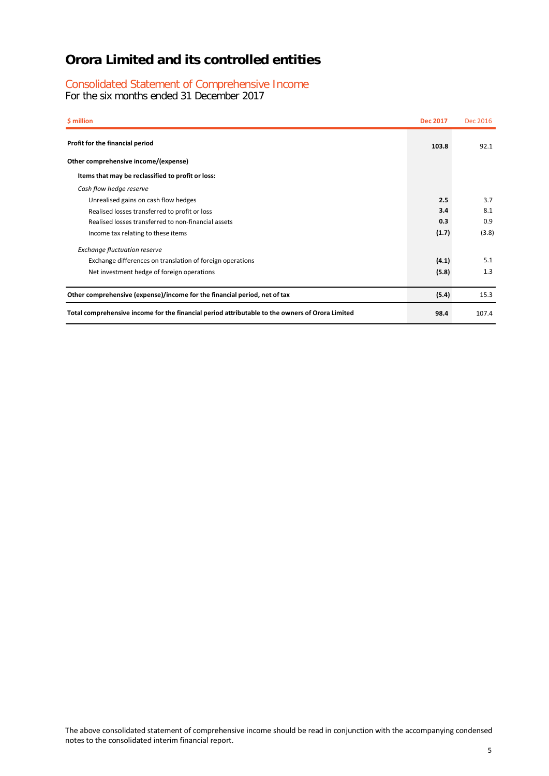# Consolidated Statement of Comprehensive Income

For the six months ended 31 December 2017

| \$ million                                                                                      | <b>Dec 2017</b> | Dec 2016 |
|-------------------------------------------------------------------------------------------------|-----------------|----------|
| Profit for the financial period                                                                 | 103.8           | 92.1     |
| Other comprehensive income/(expense)                                                            |                 |          |
| Items that may be reclassified to profit or loss:                                               |                 |          |
| Cash flow hedge reserve                                                                         |                 |          |
| Unrealised gains on cash flow hedges                                                            | 2.5             | 3.7      |
| Realised losses transferred to profit or loss                                                   | 3.4             | 8.1      |
| Realised losses transferred to non-financial assets                                             | 0.3             | 0.9      |
| Income tax relating to these items                                                              | (1.7)           | (3.8)    |
| <b>Exchange fluctuation reserve</b>                                                             |                 |          |
| Exchange differences on translation of foreign operations                                       | (4.1)           | 5.1      |
| Net investment hedge of foreign operations                                                      | (5.8)           | 1.3      |
| Other comprehensive (expense)/income for the financial period, net of tax                       | (5.4)           | 15.3     |
| Total comprehensive income for the financial period attributable to the owners of Orora Limited | 98.4            | 107.4    |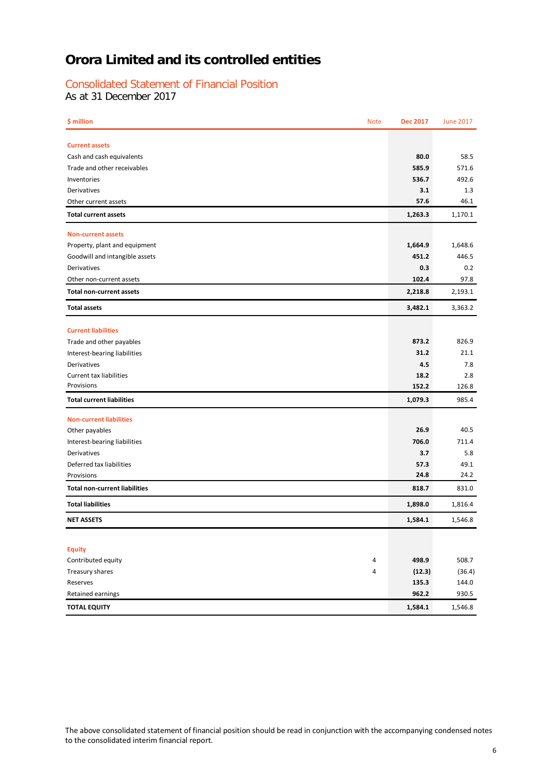# Consolidated Statement of Financial Position

As at 31 December 2017

| \$ million                           | <b>Note</b> | <b>Dec 2017</b> | <b>June 2017</b> |
|--------------------------------------|-------------|-----------------|------------------|
| <b>Current assets</b>                |             |                 |                  |
| Cash and cash equivalents            |             | 80.0            | 58.5             |
| Trade and other receivables          |             | 585.9           | 571.6            |
| Inventories                          |             | 536.7           | 492.6            |
| Derivatives                          |             | 3.1             | 1.3              |
| Other current assets                 |             | 57.6            | 46.1             |
| <b>Total current assets</b>          |             | 1,263.3         | 1,170.1          |
| <b>Non-current assets</b>            |             |                 |                  |
| Property, plant and equipment        |             | 1,664.9         | 1,648.6          |
| Goodwill and intangible assets       |             | 451.2           | 446.5            |
| Derivatives                          |             | 0.3             | 0.2              |
| Other non-current assets             |             | 102.4           | 97.8             |
| <b>Total non-current assets</b>      |             | 2,218.8         | 2,193.1          |
| <b>Total assets</b>                  |             | 3,482.1         | 3,363.2          |
| <b>Current liabilities</b>           |             |                 |                  |
| Trade and other payables             |             | 873.2           | 826.9            |
| Interest-bearing liabilities         |             | 31.2            | 21.1             |
| Derivatives                          |             | 4.5             | 7.8              |
| <b>Current tax liabilities</b>       |             | 18.2            | 2.8              |
| Provisions                           |             | 152.2           | 126.8            |
| <b>Total current liabilities</b>     |             | 1,079.3         | 985.4            |
| <b>Non-current liabilities</b>       |             |                 |                  |
| Other payables                       |             | 26.9            | 40.5             |
| Interest-bearing liabilities         |             | 706.0           | 711.4            |
| Derivatives                          |             | 3.7             | 5.8              |
| Deferred tax liabilities             |             | 57.3            | 49.1             |
| Provisions                           |             | 24.8            | 24.2             |
| <b>Total non-current liabilities</b> |             | 818.7           | 831.0            |
| <b>Total liabilities</b>             |             | 1,898.0         | 1,816.4          |
| <b>NET ASSETS</b>                    |             | 1,584.1         | 1,546.8          |
|                                      |             |                 |                  |
| <b>Equity</b>                        |             |                 |                  |
| Contributed equity                   | 4           | 498.9           | 508.7            |
| Treasury shares                      | 4           | (12.3)          | (36.4)           |
| Reserves                             |             | 135.3           | 144.0            |
| Retained earnings                    |             | 962.2           | 930.5            |
| <b>TOTAL EQUITY</b>                  |             | 1,584.1         | 1,546.8          |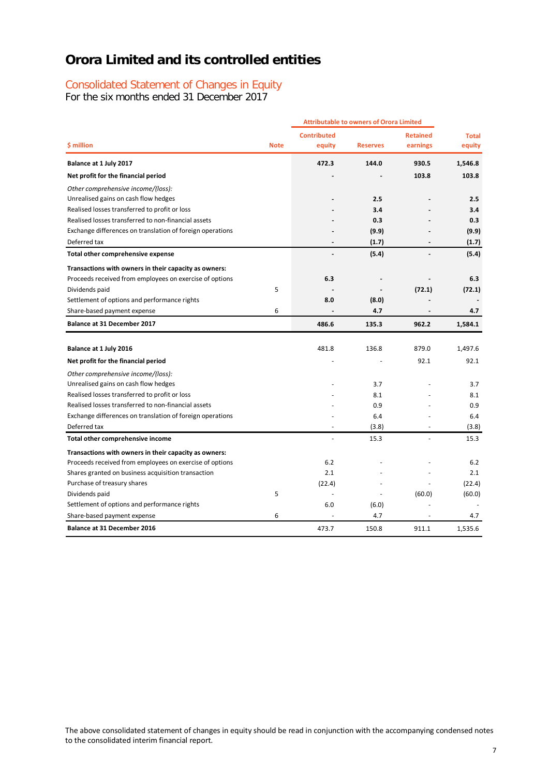## Consolidated Statement of Changes in Equity

For the six months ended 31 December 2017

|                                                           |             |                    | <b>Attributable to owners of Orora Limited</b> |                 |              |
|-----------------------------------------------------------|-------------|--------------------|------------------------------------------------|-----------------|--------------|
|                                                           |             | <b>Contributed</b> |                                                | <b>Retained</b> | <b>Total</b> |
| \$ million                                                | <b>Note</b> | equity             | <b>Reserves</b>                                | earnings        | equity       |
| Balance at 1 July 2017                                    |             | 472.3              | 144.0                                          | 930.5           | 1,546.8      |
| Net profit for the financial period                       |             |                    |                                                | 103.8           | 103.8        |
| Other comprehensive income/(loss):                        |             |                    |                                                |                 |              |
| Unrealised gains on cash flow hedges                      |             |                    | 2.5                                            |                 | 2.5          |
| Realised losses transferred to profit or loss             |             |                    | 3.4                                            |                 | 3.4          |
| Realised losses transferred to non-financial assets       |             |                    | 0.3                                            |                 | 0.3          |
| Exchange differences on translation of foreign operations |             |                    | (9.9)                                          |                 | (9.9)        |
| Deferred tax                                              |             |                    | (1.7)                                          |                 | (1.7)        |
| Total other comprehensive expense                         |             |                    | (5.4)                                          |                 | (5.4)        |
| Transactions with owners in their capacity as owners:     |             |                    |                                                |                 |              |
| Proceeds received from employees on exercise of options   |             | 6.3                |                                                |                 | 6.3          |
| Dividends paid                                            | 5           |                    |                                                | (72.1)          | (72.1)       |
| Settlement of options and performance rights              |             | 8.0                | (8.0)                                          |                 |              |
| Share-based payment expense                               | 6           | ÷.                 | 4.7                                            |                 | 4.7          |
| <b>Balance at 31 December 2017</b>                        |             | 486.6              | 135.3                                          | 962.2           | 1,584.1      |
|                                                           |             |                    |                                                |                 |              |
| Balance at 1 July 2016                                    |             | 481.8              | 136.8                                          | 879.0           | 1,497.6      |
| Net profit for the financial period                       |             |                    |                                                | 92.1            | 92.1         |
| Other comprehensive income/(loss):                        |             |                    |                                                |                 |              |
| Unrealised gains on cash flow hedges                      |             |                    | 3.7                                            |                 | 3.7          |
| Realised losses transferred to profit or loss             |             |                    | 8.1                                            |                 | 8.1          |
| Realised losses transferred to non-financial assets       |             |                    | 0.9                                            |                 | 0.9          |
| Exchange differences on translation of foreign operations |             |                    | 6.4                                            |                 | 6.4          |
| Deferred tax                                              |             | $\overline{a}$     | (3.8)                                          |                 | (3.8)        |
| Total other comprehensive income                          |             | ÷,                 | 15.3                                           | L.              | 15.3         |
| Transactions with owners in their capacity as owners:     |             |                    |                                                |                 |              |
| Proceeds received from employees on exercise of options   |             | 6.2                |                                                |                 | 6.2          |
| Shares granted on business acquisition transaction        |             | 2.1                |                                                |                 | 2.1          |
| Purchase of treasury shares                               |             | (22.4)             |                                                |                 | (22.4)       |
| Dividends paid                                            | 5           |                    |                                                | (60.0)          | (60.0)       |
| Settlement of options and performance rights              |             | 6.0                | (6.0)                                          |                 |              |
| Share-based payment expense                               | 6           |                    | 4.7                                            |                 | 4.7          |
| <b>Balance at 31 December 2016</b>                        |             | 473.7              | 150.8                                          | 911.1           | 1,535.6      |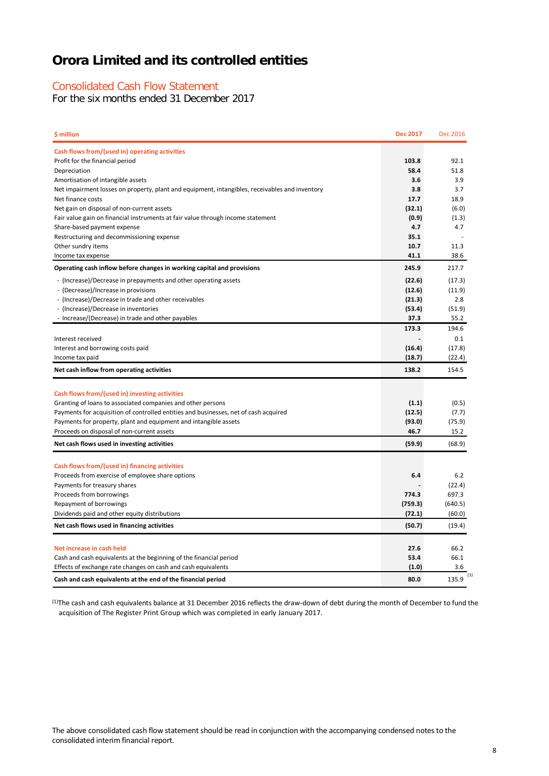### Consolidated Cash Flow Statement

For the six months ended 31 December 2017

| \$ million                                                                                     | <b>Dec 2017</b> | Dec 2016 |
|------------------------------------------------------------------------------------------------|-----------------|----------|
| Cash flows from/(used in) operating activities                                                 |                 |          |
| Profit for the financial period                                                                | 103.8           | 92.1     |
| Depreciation                                                                                   | 58.4            | 51.8     |
| Amortisation of intangible assets                                                              | 3.6             | 3.9      |
| Net impairment losses on property, plant and equipment, intangibles, receivables and inventory | 3.8             | 3.7      |
| Net finance costs                                                                              | 17.7            | 18.9     |
| Net gain on disposal of non-current assets                                                     | (32.1)          | (6.0)    |
| Fair value gain on financial instruments at fair value through income statement                | (0.9)           | (1.3)    |
| Share-based payment expense                                                                    | 4.7             | 4.7      |
| Restructuring and decommissioning expense                                                      | 35.1            |          |
| Other sundry items                                                                             | 10.7            | 11.3     |
| Income tax expense                                                                             | 41.1            | 38.6     |
| Operating cash inflow before changes in working capital and provisions                         | 245.9           | 217.7    |
| - (Increase)/Decrease in prepayments and other operating assets                                | (22.6)          | (17.3)   |
| - (Decrease)/Increase in provisions                                                            | (12.6)          | (11.9)   |
| - (Increase)/Decrease in trade and other receivables                                           | (21.3)          | 2.8      |
| - (Increase)/Decrease in inventories                                                           | (53.4)          | (51.9)   |
| - Increase/(Decrease) in trade and other payables                                              | 37.3            | 55.2     |
|                                                                                                | 173.3           | 194.6    |
| Interest received                                                                              |                 | 0.1      |
| Interest and borrowing costs paid                                                              | (16.4)          | (17.8)   |
| Income tax paid                                                                                | (18.7)          | (22.4)   |
| Net cash inflow from operating activities                                                      | 138.2           | 154.5    |
|                                                                                                |                 |          |
| Cash flows from/(used in) investing activities                                                 |                 |          |
| Granting of loans to associated companies and other persons                                    | (1.1)           | (0.5)    |
| Payments for acquisition of controlled entities and businesses, net of cash acquired           | (12.5)          | (7.7)    |
| Payments for property, plant and equipment and intangible assets                               | (93.0)          | (75.9)   |
| Proceeds on disposal of non-current assets                                                     | 46.7            | 15.2     |
| Net cash flows used in investing activities                                                    | (59.9)          | (68.9)   |
|                                                                                                |                 |          |
| Cash flows from/(used in) financing activities                                                 |                 |          |
| Proceeds from exercise of employee share options                                               | 6.4             | 6.2      |
| Payments for treasury shares                                                                   | 774.3           | (22.4)   |
| Proceeds from borrowings                                                                       |                 | 697.3    |
| Repayment of borrowings                                                                        | (759.3)         | (640.5)  |
| Dividends paid and other equity distributions                                                  | (72.1)          | (60.0)   |
| Net cash flows used in financing activities                                                    | (50.7)          | (19.4)   |
| Net increase in cash held                                                                      | 27.6            | 66.2     |
| Cash and cash equivalents at the beginning of the financial period                             | 53.4            | 66.1     |
| Effects of exchange rate changes on cash and cash equivalents                                  | (1.0)           | 3.6      |
|                                                                                                |                 | (1)      |
| Cash and cash equivalents at the end of the financial period                                   | 80.0            | 135.9    |

<sup>(1)</sup>The cash and cash equivalents balance at 31 December 2016 reflects the draw-down of debt during the month of December to fund the acquisition of The Register Print Group which was completed in early January 2017.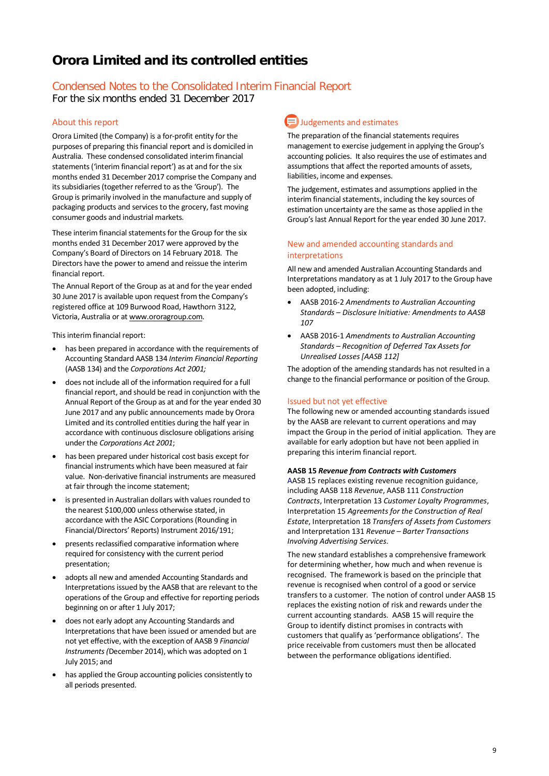# Condensed Notes to the Consolidated Interim Financial Report

For the six months ended 31 December 2017

### About this report

Orora Limited (the Company) is a for-profit entity for the purposes of preparing this financial report and is domiciled in Australia. These condensed consolidated interim financial statements ('interim financial report') as at and for the six months ended 31 December 2017 comprise the Company and its subsidiaries (together referred to as the 'Group'). The Group is primarily involved in the manufacture and supply of packaging products and services to the grocery, fast moving consumer goods and industrial markets.

These interim financial statements for the Group for the six months ended 31 December 2017 were approved by the Company's Board of Directors on 14 February 2018. The Directors have the power to amend and reissue the interim financial report.

The Annual Report of the Group as at and for the year ended 30 June 2017 is available upon request from the Company's registered office at 109 Burwood Road, Hawthorn 3122, Victoria, Australia or a[t www.ororagroup.com.](http://www.ororagroup.com/)

This interim financial report:

- has been prepared in accordance with the requirements of Accounting Standard AASB 134 *Interim Financial Reporting* (AASB 134) and the *Corporations Act 2001;*
- does not include all of the information required for a full financial report, and should be read in conjunction with the Annual Report of the Group as at and for the year ended 30 June 2017 and any public announcements made by Orora Limited and its controlled entities during the half year in accordance with continuous disclosure obligations arising under the *Corporations Act 2001*;
- has been prepared under historical cost basis except for financial instruments which have been measured at fair value. Non-derivative financial instruments are measured at fair through the income statement;
- is presented in Australian dollars with values rounded to the nearest \$100,000 unless otherwise stated, in accordance with the ASIC Corporations (Rounding in Financial/Directors' Reports) Instrument 2016/191;
- presents reclassified comparative information where required for consistency with the current period presentation;
- adopts all new and amended Accounting Standards and Interpretations issued by the AASB that are relevant to the operations of the Group and effective for reporting periods beginning on or after 1 July 2017;
- does not early adopt any Accounting Standards and Interpretations that have been issued or amended but are not yet effective, with the exception of AASB 9 *Financial Instruments (*December 2014), which was adopted on 1 July 2015; and
- has applied the Group accounting policies consistently to all periods presented.

# **Judgements and estimates**

The preparation of the financial statements requires management to exercise judgement in applying the Group's accounting policies. It also requires the use of estimates and assumptions that affect the reported amounts of assets, liabilities, income and expenses.

The judgement, estimates and assumptions applied in the interim financial statements, including the key sources of estimation uncertainty are the same as those applied in the Group's last Annual Report for the year ended 30 June 2017.

#### New and amended accounting standards and interpretations

All new and amended Australian Accounting Standards and Interpretations mandatory as at 1 July 2017 to the Group have been adopted, including:

- AASB 2016-2 *Amendments to Australian Accounting Standards – Disclosure Initiative: Amendments to AASB 107*
- AASB 2016-1 *Amendments to Australian Accounting Standards – Recognition of Deferred Tax Assets for Unrealised Losses [AASB 112]*

The adoption of the amending standards has not resulted in a change to the financial performance or position of the Group.

#### Issued but not yet effective

The following new or amended accounting standards issued by the AASB are relevant to current operations and may impact the Group in the period of initial application. They are available for early adoption but have not been applied in preparing this interim financial report.

#### **AASB 15** *Revenue from Contracts with Customers*

AASB 15 replaces existing revenue recognition guidance, including AASB 118 *Revenue*, AASB 111 *Construction Contracts*, Interpretation 13 *Customer Loyalty Programmes*, Interpretation 15 *Agreements for the Construction of Real Estate*, Interpretation 18 *Transfers of Assets from Customers* and Interpretation 131 *Revenue – Barter Transactions Involving Advertising Services*.

The new standard establishes a comprehensive framework for determining whether, how much and when revenue is recognised. The framework is based on the principle that revenue is recognised when control of a good or service transfers to a customer. The notion of control under AASB 15 replaces the existing notion of risk and rewards under the current accounting standards. AASB 15 will require the Group to identify distinct promises in contracts with customers that qualify as 'performance obligations'. The price receivable from customers must then be allocated between the performance obligations identified.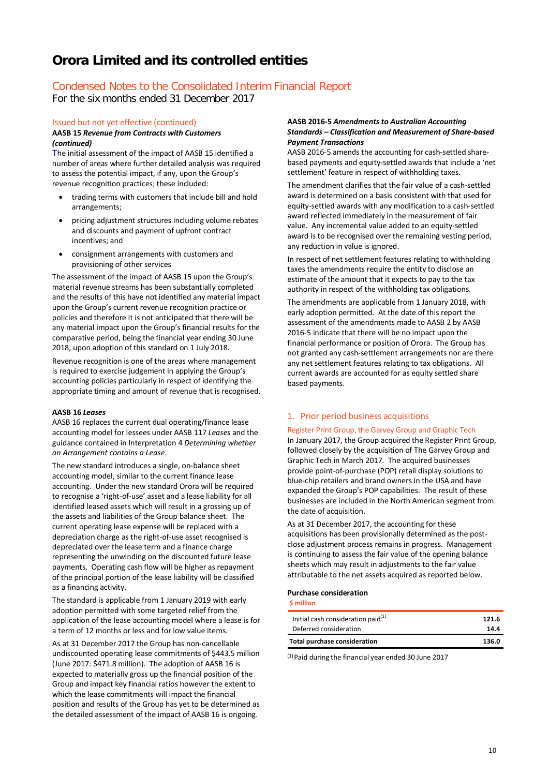## Condensed Notes to the Consolidated Interim Financial Report

For the six months ended 31 December 2017

#### Issued but not yet effective (continued) **AASB 15** *Revenue from Contracts with Customers*

*(continued)*

The initial assessment of the impact of AASB 15 identified a number of areas where further detailed analysis was required to assess the potential impact, if any, upon the Group's revenue recognition practices; these included:

- trading terms with customers that include bill and hold arrangements;
- pricing adjustment structures including volume rebates and discounts and payment of upfront contract incentives; and
- consignment arrangements with customers and provisioning of other services

The assessment of the impact of AASB 15 upon the Group's material revenue streams has been substantially completed and the results of this have not identified any material impact upon the Group's current revenue recognition practice or policies and therefore it is not anticipated that there will be any material impact upon the Group's financial results for the comparative period, being the financial year ending 30 June 2018, upon adoption of this standard on 1 July 2018.

Revenue recognition is one of the areas where management is required to exercise judgement in applying the Group's accounting policies particularly in respect of identifying the appropriate timing and amount of revenue that is recognised.

#### **AASB 16** *Leases*

AASB 16 replaces the current dual operating/finance lease accounting model for lessees under AASB 117 *Leases* and the guidance contained in Interpretation 4 *Determining whether an Arrangement contains a Lease*.

The new standard introduces a single, on-balance sheet accounting model, similar to the current finance lease accounting. Under the new standard Orora will be required to recognise a 'right-of-use' asset and a lease liability for all identified leased assets which will result in a grossing up of the assets and liabilities of the Group balance sheet. The current operating lease expense will be replaced with a depreciation charge as the right-of-use asset recognised is depreciated over the lease term and a finance charge representing the unwinding on the discounted future lease payments. Operating cash flow will be higher as repayment of the principal portion of the lease liability will be classified as a financing activity.

The standard is applicable from 1 January 2019 with early adoption permitted with some targeted relief from the application of the lease accounting model where a lease is for a term of 12 months or less and for low value items.

As at 31 December 2017 the Group has non-cancellable undiscounted operating lease commitments of \$443.5 million (June 2017: \$471.8 million). The adoption of AASB 16 is expected to materially gross up the financial position of the Group and impact key financial ratios however the extent to which the lease commitments will impact the financial position and results of the Group has yet to be determined as the detailed assessment of the impact of AASB 16 is ongoing.

#### **AASB 2016-5** *Amendments to Australian Accounting Standards – Classification and Measurement of Share-based Payment Transactions*

AASB 2016-5 amends the accounting for cash-settled sharebased payments and equity-settled awards that include a 'net settlement' feature in respect of withholding taxes.

The amendment clarifies that the fair value of a cash-settled award is determined on a basis consistent with that used for equity-settled awards with any modification to a cash-settled award reflected immediately in the measurement of fair value. Any incremental value added to an equity-settled award is to be recognised over the remaining vesting period, any reduction in value is ignored.

In respect of net settlement features relating to withholding taxes the amendments require the entity to disclose an estimate of the amount that it expects to pay to the tax authority in respect of the withholding tax obligations.

The amendments are applicable from 1 January 2018, with early adoption permitted. At the date of this report the assessment of the amendments made to AASB 2 by AASB 2016-5 indicate that there will be no impact upon the financial performance or position of Orora. The Group has not granted any cash-settlement arrangements nor are there any net settlement features relating to tax obligations. All current awards are accounted for as equity settled share based payments.

#### 1. Prior period business acquisitions

#### Register Print Group, the Garvey Group and Graphic Tech

In January 2017, the Group acquired the Register Print Group, followed closely by the acquisition of The Garvey Group and Graphic Tech in March 2017. The acquired businesses provide point-of-purchase (POP) retail display solutions to blue-chip retailers and brand owners in the USA and have expanded the Group's POP capabilities. The result of these businesses are included in the North American segment from the date of acquisition.

As at 31 December 2017, the accounting for these acquisitions has been provisionally determined as the postclose adjustment process remains in progress. Management is continuing to assess the fair value of the opening balance sheets which may result in adjustments to the fair value attributable to the net assets acquired as reported below.

#### **Purchase consideration**

**\$ million**

| <b>Total purchase consideration</b>   | 136.0 |
|---------------------------------------|-------|
| Deferred consideration                | 14.4  |
| Initial cash consideration paid $(1)$ | 121.6 |

(1)Paid during the financial year ended 30 June 2017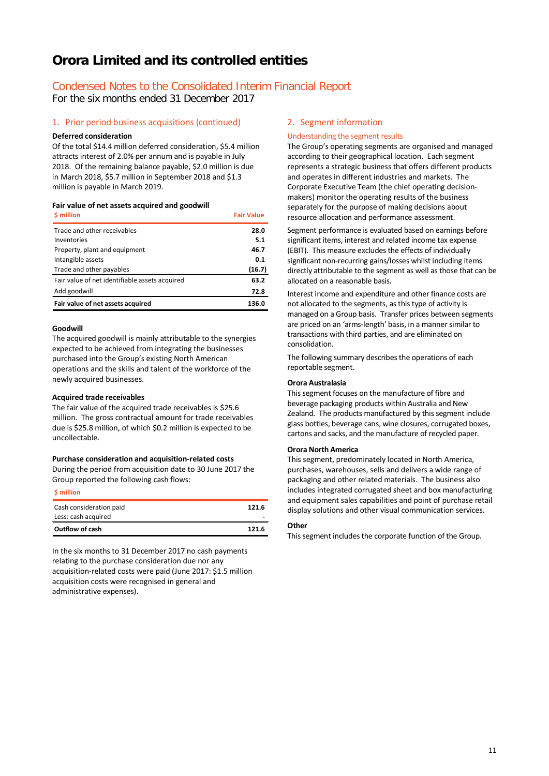# Condensed Notes to the Consolidated Interim Financial Report

For the six months ended 31 December 2017

#### 1. Prior period business acquisitions (continued)

#### **Deferred consideration**

Of the total \$14.4 million deferred consideration, \$5.4 million attracts interest of 2.0% per annum and is payable in July 2018. Of the remaining balance payable, \$2.0 million is due in March 2018, \$5.7 million in September 2018 and \$1.3 million is payable in March 2019.

#### **Fair value of net assets acquired and goodwill**

| \$ million                                     | <b>Fair Value</b> |
|------------------------------------------------|-------------------|
| Trade and other receivables                    | 28.0              |
| Inventories                                    | 5.1               |
| Property, plant and equipment                  | 46.7              |
| Intangible assets                              | 0.1               |
| Trade and other payables                       | (16.7)            |
| Fair value of net identifiable assets acquired | 63.2              |
| Add goodwill                                   | 72.8              |
| Fair value of net assets acquired              | 136.0             |

#### **Goodwill**

The acquired goodwill is mainly attributable to the synergies expected to be achieved from integrating the businesses purchased into the Group's existing North American operations and the skills and talent of the workforce of the newly acquired businesses.

#### **Acquired trade receivables**

The fair value of the acquired trade receivables is \$25.6 million. The gross contractual amount for trade receivables due is \$25.8 million, of which \$0.2 million is expected to be uncollectable.

#### **Purchase consideration and acquisition-related costs**

During the period from acquisition date to 30 June 2017 the Group reported the following cash flows:

#### **\$ million**

| Outflow of cash                                | 121.6 |
|------------------------------------------------|-------|
| Cash consideration paid<br>Less: cash acquired | 121.6 |

In the six months to 31 December 2017 no cash payments relating to the purchase consideration due nor any acquisition-related costs were paid (June 2017: \$1.5 million acquisition costs were recognised in general and administrative expenses).

#### 2. Segment information

#### Understanding the segment results

The Group's operating segments are organised and managed according to their geographical location. Each segment represents a strategic business that offers different products and operates in different industries and markets. The Corporate Executive Team (the chief operating decisionmakers) monitor the operating results of the business separately for the purpose of making decisions about resource allocation and performance assessment.

Segment performance is evaluated based on earnings before significant items, interest and related income tax expense (EBIT). This measure excludes the effects of individually significant non-recurring gains/losses whilst including items directly attributable to the segment as well as those that can be allocated on a reasonable basis.

Interest income and expenditure and other finance costs are not allocated to the segments, as this type of activity is managed on a Group basis. Transfer prices between segments are priced on an 'arms-length' basis, in a manner similar to transactions with third parties, and are eliminated on consolidation.

The following summary describes the operations of each reportable segment.

#### **Orora Australasia**

This segment focuses on the manufacture of fibre and beverage packaging products within Australia and New Zealand. The products manufactured by this segment include glass bottles, beverage cans, wine closures, corrugated boxes, cartons and sacks, and the manufacture of recycled paper.

#### **Orora North America**

This segment, predominately located in North America, purchases, warehouses, sells and delivers a wide range of packaging and other related materials. The business also includes integrated corrugated sheet and box manufacturing and equipment sales capabilities and point of purchase retail display solutions and other visual communication services.

#### **Other**

This segment includes the corporate function of the Group.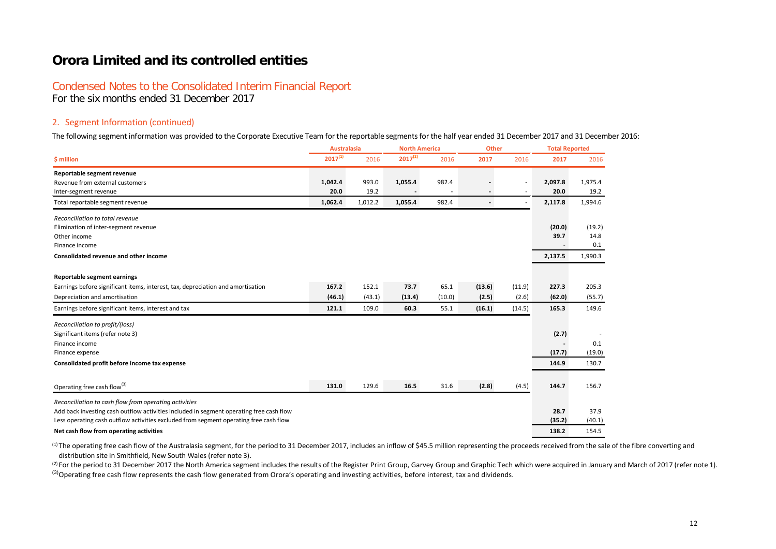# Condensed Notes to the Consolidated Interim Financial Report

For the six months ended 31 December 2017

#### 2. Segment Information (continued)

The following segment information was provided to the Corporate Executive Team for the reportable segments for the half year ended 31 December 2017 and 31 December 2016:

|                                                                                         | <b>Australasia</b> |         | <b>North America</b> |        | <b>Other</b> |        | <b>Total Reported</b> |         |
|-----------------------------------------------------------------------------------------|--------------------|---------|----------------------|--------|--------------|--------|-----------------------|---------|
| \$ million                                                                              | $2017^{(1)}$       | 2016    | $2017^{(2)}$         | 2016   | 2017         | 2016   | 2017                  | 2016    |
| Reportable segment revenue                                                              |                    |         |                      |        |              |        |                       |         |
| Revenue from external customers                                                         | 1,042.4            | 993.0   | 1,055.4              | 982.4  |              |        | 2,097.8               | 1,975.4 |
| Inter-segment revenue                                                                   | 20.0               | 19.2    |                      |        |              |        | 20.0                  | 19.2    |
| Total reportable segment revenue                                                        | 1,062.4            | 1,012.2 | 1,055.4              | 982.4  |              |        | 2,117.8               | 1,994.6 |
| Reconciliation to total revenue                                                         |                    |         |                      |        |              |        |                       |         |
| Elimination of inter-segment revenue                                                    |                    |         |                      |        |              |        | (20.0)                | (19.2)  |
| Other income                                                                            |                    |         |                      |        |              |        | 39.7                  | 14.8    |
| Finance income                                                                          |                    |         |                      |        |              |        |                       | 0.1     |
| Consolidated revenue and other income                                                   |                    |         |                      |        |              |        | 2,137.5               | 1,990.3 |
| Reportable segment earnings                                                             |                    |         |                      |        |              |        |                       |         |
| Earnings before significant items, interest, tax, depreciation and amortisation         | 167.2              | 152.1   | 73.7                 | 65.1   | (13.6)       | (11.9) | 227.3                 | 205.3   |
| Depreciation and amortisation                                                           | (46.1)             | (43.1)  | (13.4)               | (10.0) | (2.5)        | (2.6)  | (62.0)                | (55.7)  |
| Earnings before significant items, interest and tax                                     | 121.1              | 109.0   | 60.3                 | 55.1   | (16.1)       | (14.5) | 165.3                 | 149.6   |
| Reconciliation to profit/(loss)                                                         |                    |         |                      |        |              |        |                       |         |
| Significant items (refer note 3)                                                        |                    |         |                      |        |              |        | (2.7)                 |         |
| Finance income                                                                          |                    |         |                      |        |              |        |                       | 0.1     |
| Finance expense                                                                         |                    |         |                      |        |              |        | (17.7)                | (19.0)  |
| Consolidated profit before income tax expense                                           |                    |         |                      |        |              |        | 144.9                 | 130.7   |
| Operating free cash flow <sup>(3)</sup>                                                 | 131.0              | 129.6   | 16.5                 | 31.6   | (2.8)        | (4.5)  | 144.7                 | 156.7   |
|                                                                                         |                    |         |                      |        |              |        |                       |         |
| Reconciliation to cash flow from operating activities                                   |                    |         |                      |        |              |        |                       |         |
| Add back investing cash outflow activities included in segment operating free cash flow |                    |         |                      |        |              |        | 28.7                  | 37.9    |
| Less operating cash outflow activities excluded from segment operating free cash flow   |                    |         |                      |        |              |        | (35.2)                | (40.1)  |
| Net cash flow from operating activities                                                 |                    |         |                      |        |              |        | 138.2                 | 154.5   |

(1) The operating free cash flow of the Australasia segment, for the period to 31 December 2017, includes an inflow of \$45.5 million representing the proceeds received from the sale of the fibre converting and distribution site in Smithfield, New South Wales (refer note 3).

(2) For the period to 31 December 2017 the North America segment includes the results of the Register Print Group, Garvey Group and Graphic Tech which were acquired in January and March of 2017 (refer note 1). <sup>(3)</sup>Operating free cash flow represents the cash flow generated from Orora's operating and investing activities, before interest, tax and dividends.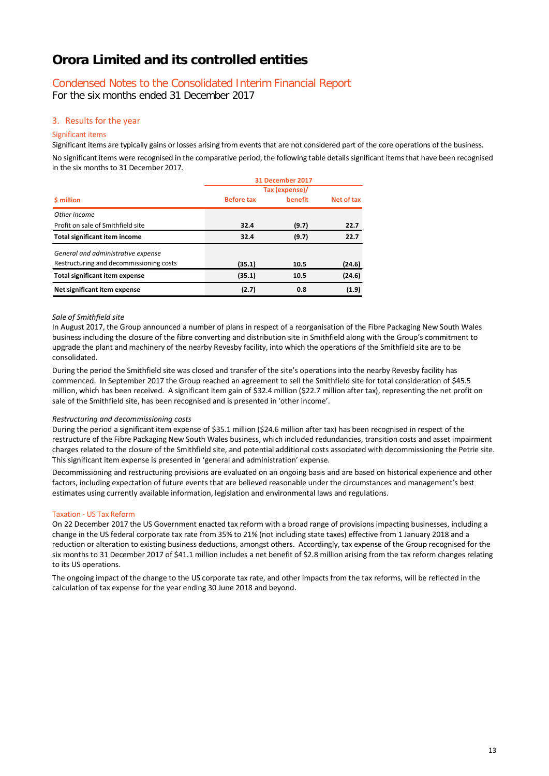# Condensed Notes to the Consolidated Interim Financial Report

For the six months ended 31 December 2017

### 3. Results for the year

#### Significant items

Significant items are typically gains or losses arising from events that are not considered part of the core operations of the business. No significant items were recognised in the comparative period, the following table details significant items that have been recognised in the six months to 31 December 2017.

|                                         | 31 December 2017  |         |            |  |  |  |
|-----------------------------------------|-------------------|---------|------------|--|--|--|
|                                         | Tax (expense)/    |         |            |  |  |  |
| <b>S</b> million                        | <b>Before tax</b> | benefit | Net of tax |  |  |  |
| Other income                            |                   |         |            |  |  |  |
| Profit on sale of Smithfield site       | 32.4              | (9.7)   | 22.7       |  |  |  |
| <b>Total significant item income</b>    | 32.4              | (9.7)   | 22.7       |  |  |  |
| General and administrative expense      |                   |         |            |  |  |  |
| Restructuring and decommissioning costs | (35.1)            | 10.5    | (24.6)     |  |  |  |
| Total significant item expense          | (35.1)            | 10.5    | (24.6)     |  |  |  |
| Net significant item expense            | (2.7)             | 0.8     | (1.9)      |  |  |  |

#### *Sale of Smithfield site*

In August 2017, the Group announced a number of plans in respect of a reorganisation of the Fibre Packaging New South Wales business including the closure of the fibre converting and distribution site in Smithfield along with the Group's commitment to upgrade the plant and machinery of the nearby Revesby facility, into which the operations of the Smithfield site are to be consolidated.

During the period the Smithfield site was closed and transfer of the site's operations into the nearby Revesby facility has commenced. In September 2017 the Group reached an agreement to sell the Smithfield site for total consideration of \$45.5 million, which has been received. A significant item gain of \$32.4 million (\$22.7 million after tax), representing the net profit on sale of the Smithfield site, has been recognised and is presented in 'other income'.

#### *Restructuring and decommissioning costs*

During the period a significant item expense of \$35.1 million (\$24.6 million after tax) has been recognised in respect of the restructure of the Fibre Packaging New South Wales business, which included redundancies, transition costs and asset impairment charges related to the closure of the Smithfield site, and potential additional costs associated with decommissioning the Petrie site. This significant item expense is presented in 'general and administration' expense.

Decommissioning and restructuring provisions are evaluated on an ongoing basis and are based on historical experience and other factors, including expectation of future events that are believed reasonable under the circumstances and management's best estimates using currently available information, legislation and environmental laws and regulations.

#### Taxation - US Tax Reform

On 22 December 2017 the US Government enacted tax reform with a broad range of provisions impacting businesses, including a change in the US federal corporate tax rate from 35% to 21% (not including state taxes) effective from 1 January 2018 and a reduction or alteration to existing business deductions, amongst others. Accordingly, tax expense of the Group recognised for the six months to 31 December 2017 of \$41.1 million includes a net benefit of \$2.8 million arising from the tax reform changes relating to its US operations.

The ongoing impact of the change to the US corporate tax rate, and other impacts from the tax reforms, will be reflected in the calculation of tax expense for the year ending 30 June 2018 and beyond.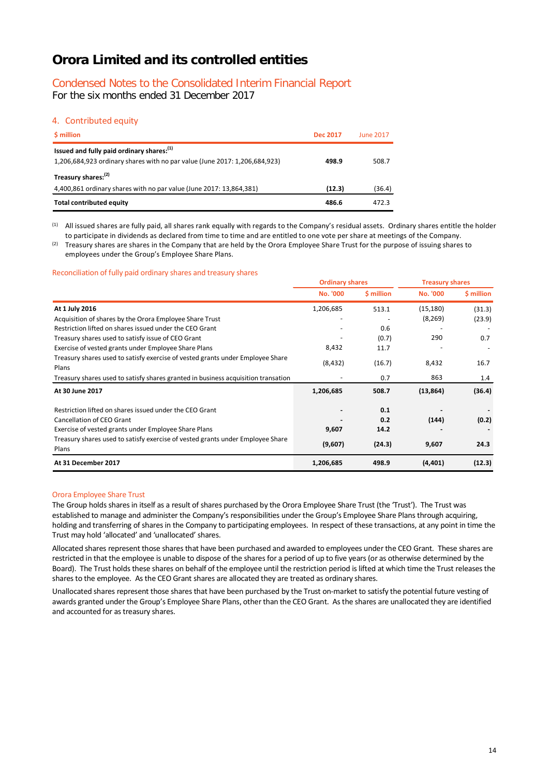# Condensed Notes to the Consolidated Interim Financial Report

For the six months ended 31 December 2017

### 4. Contributed equity

| \$ million                                                                                                               | <b>Dec 2017</b> | <b>June 2017</b> |
|--------------------------------------------------------------------------------------------------------------------------|-----------------|------------------|
| Issued and fully paid ordinary shares: (1)<br>1,206,684,923 ordinary shares with no par value (June 2017: 1,206,684,923) | 498.9           | 508.7            |
| Treasury shares: <sup>(2)</sup><br>4,400,861 ordinary shares with no par value (June 2017: 13,864,381)                   | (12.3)          | (36.4)           |
| <b>Total contributed equity</b>                                                                                          | 486.6           | 472.3            |

(1) All issued shares are fully paid, all shares rank equally with regards to the Company's residual assets. Ordinary shares entitle the holder to participate in dividends as declared from time to time and are entitled to one vote per share at meetings of the Company.

(2) Treasury shares are shares in the Company that are held by the Orora Employee Share Trust for the purpose of issuing shares to employees under the Group's Employee Share Plans.

#### Reconciliation of fully paid ordinary shares and treasury shares

|                                                                                         | <b>Ordinary shares</b> |            | <b>Treasury shares</b> |            |  |
|-----------------------------------------------------------------------------------------|------------------------|------------|------------------------|------------|--|
|                                                                                         | <b>No. '000</b>        | \$ million | <b>No. '000</b>        | \$ million |  |
| At 1 July 2016                                                                          | 1,206,685              | 513.1      | (15, 180)              | (31.3)     |  |
| Acquisition of shares by the Orora Employee Share Trust                                 |                        |            | (8, 269)               | (23.9)     |  |
| Restriction lifted on shares issued under the CEO Grant                                 |                        | 0.6        |                        |            |  |
| Treasury shares used to satisfy issue of CEO Grant                                      |                        | (0.7)      | 290                    | 0.7        |  |
| Exercise of vested grants under Employee Share Plans                                    | 8,432                  | 11.7       |                        |            |  |
| Treasury shares used to satisfy exercise of vested grants under Employee Share<br>Plans | (8, 432)               | (16.7)     | 8,432                  | 16.7       |  |
| Treasury shares used to satisfy shares granted in business acquisition transation       |                        | 0.7        | 863                    | 1.4        |  |
| At 30 June 2017                                                                         | 1,206,685              | 508.7      | (13, 864)              | (36.4)     |  |
| Restriction lifted on shares issued under the CEO Grant                                 |                        | 0.1        |                        |            |  |
| Cancellation of CEO Grant                                                               |                        | 0.2        | (144)                  | (0.2)      |  |
| Exercise of vested grants under Employee Share Plans                                    | 9,607                  | 14.2       |                        |            |  |
| Treasury shares used to satisfy exercise of vested grants under Employee Share<br>Plans | (9,607)                | (24.3)     | 9,607                  | 24.3       |  |
| At 31 December 2017                                                                     | 1,206,685              | 498.9      | (4, 401)               | (12.3)     |  |

#### Orora Employee Share Trust

The Group holds shares in itself as a result of shares purchased by the Orora Employee Share Trust (the 'Trust'). The Trust was established to manage and administer the Company's responsibilities under the Group's Employee Share Plans through acquiring, holding and transferring of shares in the Company to participating employees. In respect of these transactions, at any point in time the Trust may hold 'allocated' and 'unallocated' shares.

Allocated shares represent those shares that have been purchased and awarded to employees under the CEO Grant. These shares are restricted in that the employee is unable to dispose of the shares for a period of up to five years (or as otherwise determined by the Board). The Trust holds these shares on behalf of the employee until the restriction period is lifted at which time the Trust releases the shares to the employee. As the CEO Grant shares are allocated they are treated as ordinary shares.

Unallocated shares represent those shares that have been purchased by the Trust on-market to satisfy the potential future vesting of awards granted under the Group's Employee Share Plans, other than the CEO Grant. As the shares are unallocated they are identified and accounted for as treasury shares.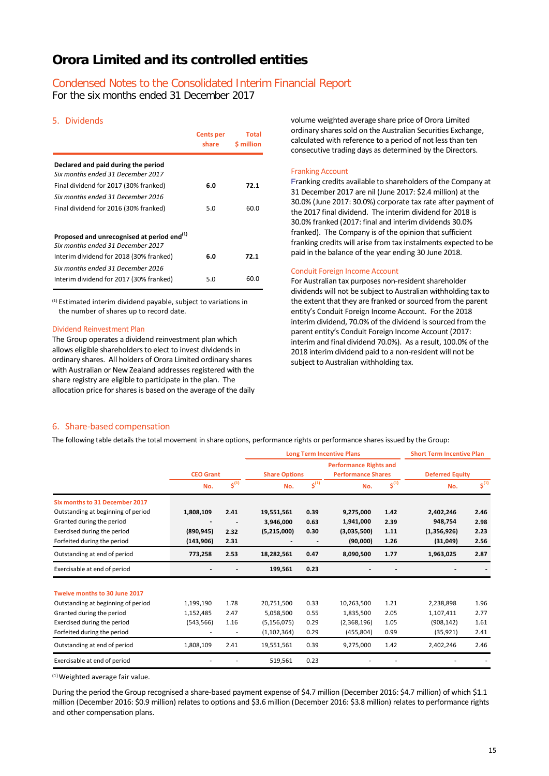# Condensed Notes to the Consolidated Interim Financial Report

For the six months ended 31 December 2017

### 5. Dividends

|                                                                          | <b>Cents per</b><br>share | Total<br><b>S</b> million |
|--------------------------------------------------------------------------|---------------------------|---------------------------|
| Declared and paid during the period<br>Six months ended 31 December 2017 |                           |                           |
| Final dividend for 2017 (30% franked)                                    | 6.0                       | 72.1                      |
| Six months ended 31 December 2016                                        |                           |                           |
| Final dividend for 2016 (30% franked)                                    | 5.0                       | 60.0                      |
|                                                                          |                           |                           |
| Proposed and unrecognised at period end <sup>(1)</sup>                   |                           |                           |
| Six months ended 31 December 2017                                        |                           |                           |
| Interim dividend for 2018 (30% franked)                                  | 6.0                       | 72.1                      |
| Six months ended 31 December 2016                                        |                           |                           |
| Interim dividend for 2017 (30% franked)                                  | 5.0                       | 60.0                      |

(1) Estimated interim dividend payable, subject to variations in the number of shares up to record date.

#### Dividend Reinvestment Plan

The Group operates a dividend reinvestment plan which allows eligible shareholders to elect to invest dividends in ordinary shares. All holders of Orora Limited ordinary shares with Australian or New Zealand addresses registered with the share registry are eligible to participate in the plan. The allocation price for shares is based on the average of the daily volume weighted average share price of Orora Limited ordinary shares sold on the Australian Securities Exchange, calculated with reference to a period of not less than ten consecutive trading days as determined by the Directors.

#### Franking Account

Franking credits available to shareholders of the Company at 31 December 2017 are nil (June 2017: \$2.4 million) at the 30.0% (June 2017: 30.0%) corporate tax rate after payment of the 2017 final dividend. The interim dividend for 2018 is 30.0% franked (2017: final and interim dividends 30.0% franked). The Company is of the opinion that sufficient franking credits will arise from tax instalments expected to be paid in the balance of the year ending 30 June 2018.

#### Conduit Foreign Income Account

For Australian tax purposes non-resident shareholder dividends will not be subject to Australian withholding tax to the extent that they are franked or sourced from the parent entity's Conduit Foreign Income Account. For the 2018 interim dividend, 70.0% of the dividend is sourced from the parent entity's Conduit Foreign Income Account (2017: interim and final dividend 70.0%). As a result, 100.0% of the 2018 interim dividend paid to a non-resident will not be subject to Australian withholding tax.

#### 6. Share-based compensation

The following table details the total movement in share options, performance rights or performance shares issued by the Group:

|                                    |                  |                          | <b>Long Term Incentive Plans</b> |           | <b>Short Term Incentive Plan</b>                           |           |                        |                    |
|------------------------------------|------------------|--------------------------|----------------------------------|-----------|------------------------------------------------------------|-----------|------------------------|--------------------|
|                                    | <b>CEO Grant</b> |                          | <b>Share Options</b>             |           | <b>Performance Rights and</b><br><b>Performance Shares</b> |           | <b>Deferred Equity</b> |                    |
|                                    | No.              | $5^{(1)}$                | No.                              | $5^{(1)}$ | No.                                                        | $5^{(1)}$ | No.                    | $\mathsf{S}^{(1)}$ |
| Six months to 31 December 2017     |                  |                          |                                  |           |                                                            |           |                        |                    |
| Outstanding at beginning of period | 1,808,109        | 2.41                     | 19,551,561                       | 0.39      | 9,275,000                                                  | 1.42      | 2,402,246              | 2.46               |
| Granted during the period          |                  |                          | 3,946,000                        | 0.63      | 1,941,000                                                  | 2.39      | 948,754                | 2.98               |
| Exercised during the period        | (890, 945)       | 2.32                     | (5,215,000)                      | 0.30      | (3,035,500)                                                | 1.11      | (1,356,926)            | 2.23               |
| Forfeited during the period        | (143, 906)       | 2.31                     |                                  |           | (90,000)                                                   | 1.26      | (31,049)               | 2.56               |
| Outstanding at end of period       | 773,258          | 2.53                     | 18,282,561                       | 0.47      | 8,090,500                                                  | 1.77      | 1,963,025              | 2.87               |
| Exercisable at end of period       |                  |                          | 199,561                          | 0.23      |                                                            |           |                        |                    |
| Twelve months to 30 June 2017      |                  |                          |                                  |           |                                                            |           |                        |                    |
| Outstanding at beginning of period | 1,199,190        | 1.78                     | 20,751,500                       | 0.33      | 10,263,500                                                 | 1.21      | 2,238,898              | 1.96               |
| Granted during the period          | 1,152,485        | 2.47                     | 5,058,500                        | 0.55      | 1,835,500                                                  | 2.05      | 1,107,411              | 2.77               |
| Exercised during the period        | (543, 566)       | 1.16                     | (5, 156, 075)                    | 0.29      | (2,368,196)                                                | 1.05      | (908, 142)             | 1.61               |
| Forfeited during the period        |                  | $\overline{\phantom{a}}$ | (1, 102, 364)                    | 0.29      | (455, 804)                                                 | 0.99      | (35, 921)              | 2.41               |
| Outstanding at end of period       | 1,808,109        | 2.41                     | 19,551,561                       | 0.39      | 9,275,000                                                  | 1.42      | 2,402,246              | 2.46               |
| Exercisable at end of period       |                  |                          | 519,561                          | 0.23      |                                                            |           |                        |                    |

 $(1)$  Weighted average fair value.

During the period the Group recognised a share-based payment expense of \$4.7 million (December 2016: \$4.7 million) of which \$1.1 million (December 2016: \$0.9 million) relates to options and \$3.6 million (December 2016: \$3.8 million) relates to performance rights and other compensation plans.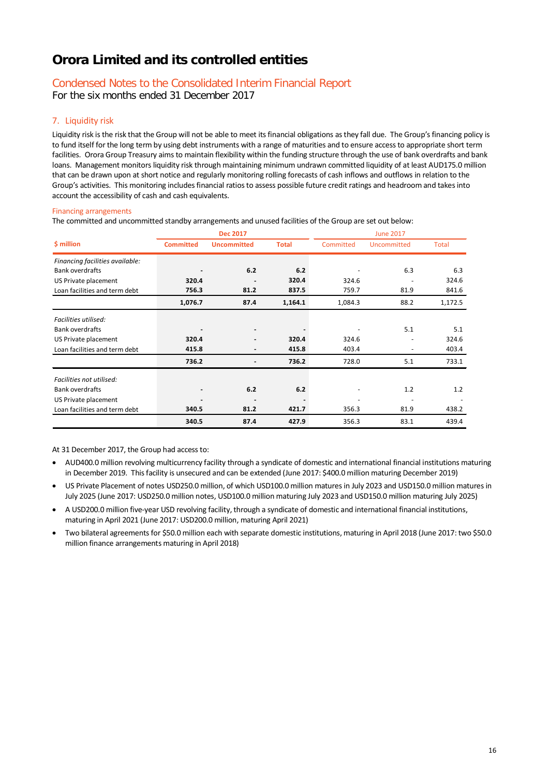# Condensed Notes to the Consolidated Interim Financial Report

For the six months ended 31 December 2017

### 7. Liquidity risk

Liquidity risk is the risk that the Group will not be able to meet its financial obligations as they fall due. The Group's financing policy is to fund itself for the long term by using debt instruments with a range of maturities and to ensure access to appropriate short term facilities. Orora Group Treasury aims to maintain flexibility within the funding structure through the use of bank overdrafts and bank loans. Management monitors liquidity risk through maintaining minimum undrawn committed liquidity of at least AUD175.0 million that can be drawn upon at short notice and regularly monitoring rolling forecasts of cash inflows and outflows in relation to the Group's activities. This monitoring includes financial ratios to assess possible future credit ratings and headroom and takes into account the accessibility of cash and cash equivalents.

#### Financing arrangements

The committed and uncommitted standby arrangements and unused facilities of the Group are set out below:

|                                 | <b>Dec 2017</b>  |                          | <b>June 2017</b> |           |             |              |  |
|---------------------------------|------------------|--------------------------|------------------|-----------|-------------|--------------|--|
| \$ million                      | <b>Committed</b> | <b>Uncommitted</b>       | <b>Total</b>     | Committed | Uncommitted | <b>Total</b> |  |
| Financing facilities available: |                  |                          |                  |           |             |              |  |
| <b>Bank overdrafts</b>          |                  | 6.2                      | 6.2              |           | 6.3         | 6.3          |  |
| US Private placement            | 320.4            |                          | 320.4            | 324.6     |             | 324.6        |  |
| Loan facilities and term debt   | 756.3            | 81.2                     | 837.5            | 759.7     | 81.9        | 841.6        |  |
|                                 | 1,076.7          | 87.4                     | 1,164.1          | 1,084.3   | 88.2        | 1,172.5      |  |
| Facilities utilised:            |                  |                          |                  |           |             |              |  |
| <b>Bank overdrafts</b>          |                  | $\overline{\phantom{a}}$ |                  |           | 5.1         | 5.1          |  |
| US Private placement            | 320.4            |                          | 320.4            | 324.6     |             | 324.6        |  |
| Loan facilities and term debt   | 415.8            | -                        | 415.8            | 403.4     |             | 403.4        |  |
|                                 | 736.2            |                          | 736.2            | 728.0     | 5.1         | 733.1        |  |
| Facilities not utilised:        |                  |                          |                  |           |             |              |  |
| Bank overdrafts                 | $\blacksquare$   | 6.2                      | 6.2              |           | 1.2         | 1.2          |  |
| US Private placement            |                  | $\overline{\phantom{a}}$ |                  |           |             |              |  |
| Loan facilities and term debt   | 340.5            | 81.2                     | 421.7            | 356.3     | 81.9        | 438.2        |  |
|                                 | 340.5            | 87.4                     | 427.9            | 356.3     | 83.1        | 439.4        |  |

At 31 December 2017, the Group had access to:

- AUD400.0 million revolving multicurrency facility through a syndicate of domestic and international financial institutions maturing in December 2019. This facility is unsecured and can be extended (June 2017: \$400.0 million maturing December 2019)
- US Private Placement of notes USD250.0 million, of which USD100.0 million matures in July 2023 and USD150.0 million matures in July 2025 (June 2017: USD250.0 million notes, USD100.0 million maturing July 2023 and USD150.0 million maturing July 2025)
- A USD200.0 million five-year USD revolving facility, through a syndicate of domestic and international financial institutions, maturing in April 2021 (June 2017: USD200.0 million, maturing April 2021)
- Two bilateral agreements for \$50.0 million each with separate domestic institutions, maturing in April 2018 (June 2017: two \$50.0 million finance arrangements maturing in April 2018)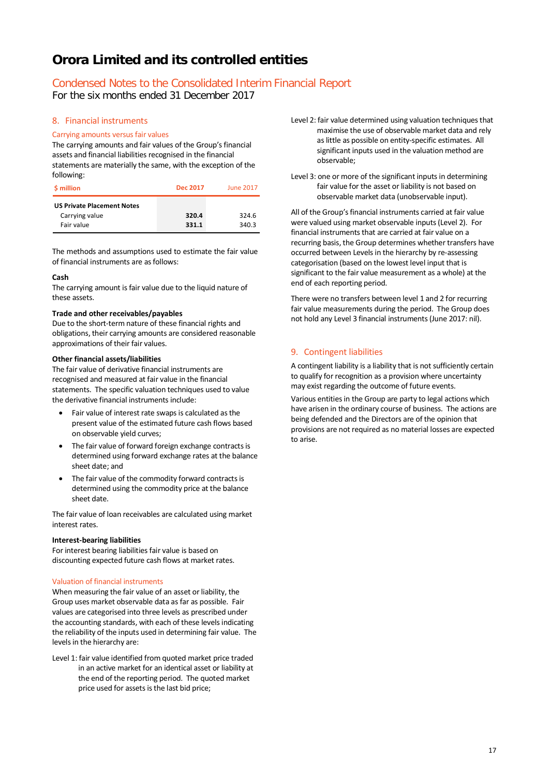# Condensed Notes to the Consolidated Interim Financial Report

For the six months ended 31 December 2017

### 8. Financial instruments

#### Carrying amounts versus fair values

The carrying amounts and fair values of the Group's financial assets and financial liabilities recognised in the financial statements are materially the same, with the exception of the following:

| <b>S</b> million                                                  | <b>Dec 2017</b> | <b>June 2017</b> |
|-------------------------------------------------------------------|-----------------|------------------|
| <b>US Private Placement Notes</b><br>Carrying value<br>Fair value | 320.4<br>331.1  | 324.6<br>340.3   |

The methods and assumptions used to estimate the fair value of financial instruments are as follows:

#### **Cash**

The carrying amount is fair value due to the liquid nature of these assets.

#### **Trade and other receivables/payables**

Due to the short-term nature of these financial rights and obligations, their carrying amounts are considered reasonable approximations of their fair values.

#### **Other financial assets/liabilities**

The fair value of derivative financial instruments are recognised and measured at fair value in the financial statements. The specific valuation techniques used to value the derivative financial instruments include:

- Fair value of interest rate swaps is calculated as the present value of the estimated future cash flows based on observable yield curves;
- The fair value of forward foreign exchange contracts is determined using forward exchange rates at the balance sheet date; and
- The fair value of the commodity forward contracts is determined using the commodity price at the balance sheet date.

The fair value of loan receivables are calculated using market interest rates.

#### **Interest-bearing liabilities**

For interest bearing liabilities fair value is based on discounting expected future cash flows at market rates.

#### Valuation of financial instruments

When measuring the fair value of an asset or liability, the Group uses market observable data as far as possible. Fair values are categorised into three levels as prescribed under the accounting standards, with each of these levels indicating the reliability of the inputs used in determining fair value. The levels in the hierarchy are:

Level 1: fair value identified from quoted market price traded in an active market for an identical asset or liability at the end of the reporting period. The quoted market price used for assets is the last bid price;

- Level 2: fair value determined using valuation techniques that maximise the use of observable market data and rely as little as possible on entity-specific estimates. All significant inputs used in the valuation method are observable;
- Level 3: one or more of the significant inputs in determining fair value for the asset or liability is not based on observable market data (unobservable input).

All of the Group's financial instruments carried at fair value were valued using market observable inputs (Level 2). For financial instruments that are carried at fair value on a recurring basis, the Group determines whether transfers have occurred between Levels in the hierarchy by re-assessing categorisation (based on the lowest level input that is significant to the fair value measurement as a whole) at the end of each reporting period.

There were no transfers between level 1 and 2 for recurring fair value measurements during the period. The Group does not hold any Level 3 financial instruments (June 2017: nil).

### 9. Contingent liabilities

A contingent liability is a liability that is not sufficiently certain to qualify for recognition as a provision where uncertainty may exist regarding the outcome of future events.

Various entities in the Group are party to legal actions which have arisen in the ordinary course of business. The actions are being defended and the Directors are of the opinion that provisions are not required as no material losses are expected to arise.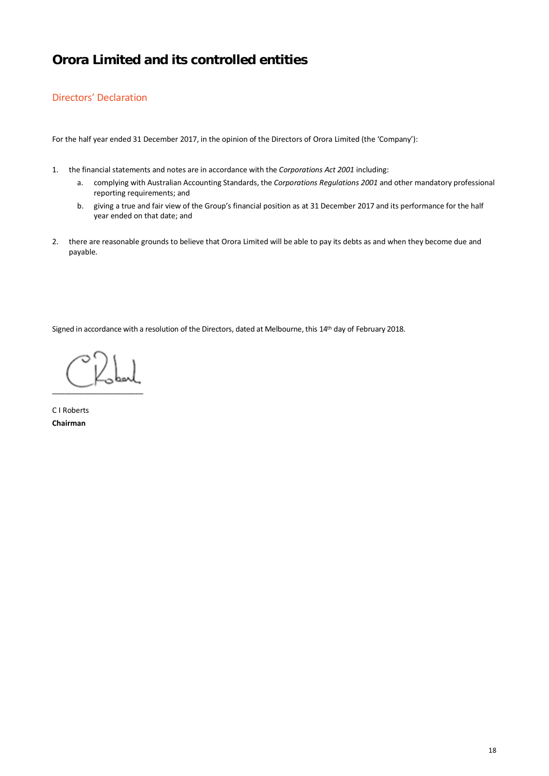### Directors' Declaration

For the half year ended 31 December 2017, in the opinion of the Directors of Orora Limited (the 'Company'):

- 1. the financial statements and notes are in accordance with the *Corporations Act 2001* including:
	- a. complying with Australian Accounting Standards, the *Corporations Regulations 2001* and other mandatory professional reporting requirements; and
	- b. giving a true and fair view of the Group's financial position as at 31 December 2017 and its performance for the half year ended on that date; and
- 2. there are reasonable grounds to believe that Orora Limited will be able to pay its debts as and when they become due and payable.

Signed in accordance with a resolution of the Directors, dated at Melbourne, this 14th day of February 2018.

 $\overline{\phantom{a}}$  , where  $\overline{\phantom{a}}$ 

C I Roberts **Chairman**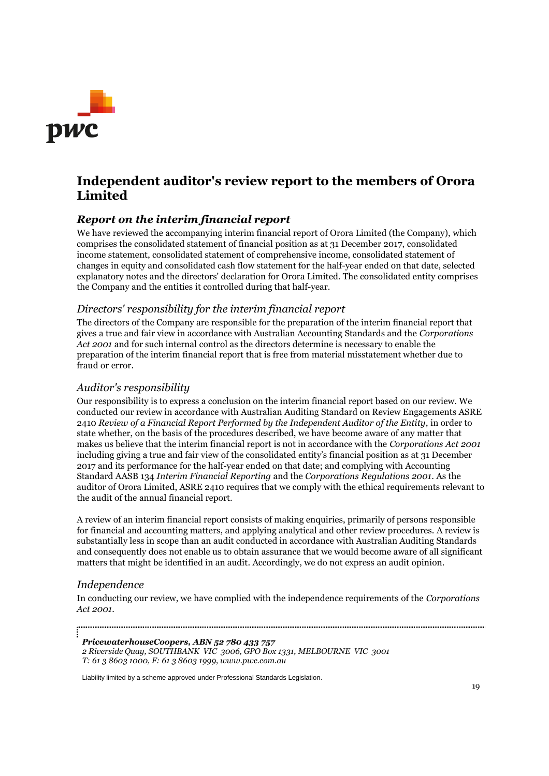

# **Independent auditor's review report to the members of Orora Limited**

# *Report on the interim financial report*

We have reviewed the accompanying interim financial report of Orora Limited (the Company), which comprises the consolidated statement of financial position as at 31 December 2017, consolidated income statement, consolidated statement of comprehensive income, consolidated statement of changes in equity and consolidated cash flow statement for the half-year ended on that date, selected explanatory notes and the directors' declaration for Orora Limited. The consolidated entity comprises the Company and the entities it controlled during that half-year.

### *Directors' responsibility for the interim financial report*

The directors of the Company are responsible for the preparation of the interim financial report that gives a true and fair view in accordance with Australian Accounting Standards and the *Corporations Act 2001* and for such internal control as the directors determine is necessary to enable the preparation of the interim financial report that is free from material misstatement whether due to fraud or error.

### *Auditor's responsibility*

Our responsibility is to express a conclusion on the interim financial report based on our review. We conducted our review in accordance with Australian Auditing Standard on Review Engagements ASRE 2410 *Review of a Financial Report Performed by the Independent Auditor of the Entity*, in order to state whether, on the basis of the procedures described, we have become aware of any matter that makes us believe that the interim financial report is not in accordance with the *Corporations Act 2001* including giving a true and fair view of the consolidated entity's financial position as at 31 December 2017 and its performance for the half-year ended on that date; and complying with Accounting Standard AASB 134 *Interim Financial Reporting* and the *Corporations Regulations 2001*. As the auditor of Orora Limited, ASRE 2410 requires that we comply with the ethical requirements relevant to the audit of the annual financial report.

A review of an interim financial report consists of making enquiries, primarily of persons responsible for financial and accounting matters, and applying analytical and other review procedures. A review is substantially less in scope than an audit conducted in accordance with Australian Auditing Standards and consequently does not enable us to obtain assurance that we would become aware of all significant matters that might be identified in an audit. Accordingly, we do not express an audit opinion.

### *Independence*

In conducting our review, we have complied with the independence requirements of the *Corporations Act 2001*.

*PricewaterhouseCoopers, ABN 52 780 433 757*

*2 Riverside Quay, SOUTHBANK VIC 3006, GPO Box 1331, MELBOURNE VIC 3001 T: 61 3 8603 1000, F: 61 3 8603 1999, www.pwc.com.au*

Liability limited by a scheme approved under Professional Standards Legislation.